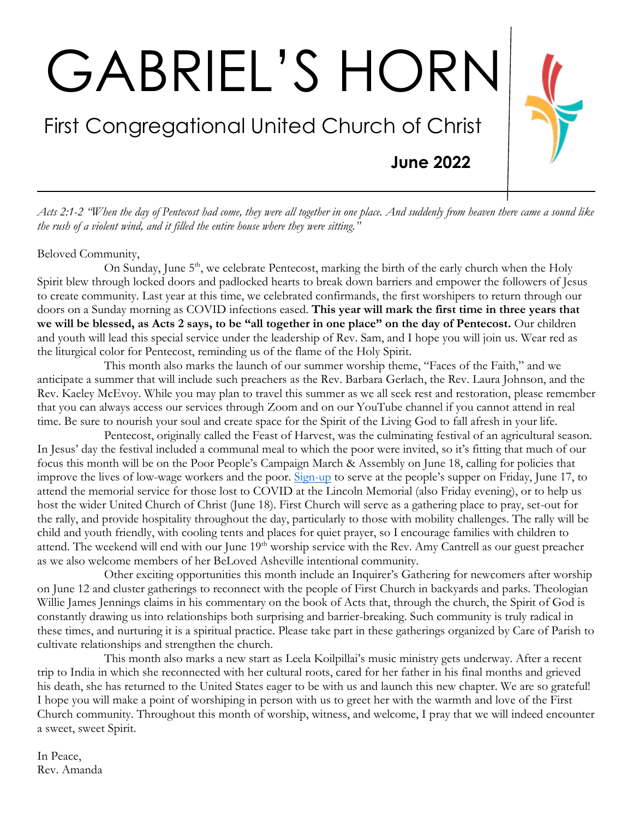# GABRIEL'S HORN

## First Congregational United Church of Christ

**June 2022**

*Acts 2:1-2 "When the day of Pentecost had come, they were all together in one place. And suddenly from heaven there came a sound like the rush of a violent wind, and it filled the entire house where they were sitting."*

#### Beloved Community,

On Sunday, June  $5<sup>th</sup>$ , we celebrate Pentecost, marking the birth of the early church when the Holy Spirit blew through locked doors and padlocked hearts to break down barriers and empower the followers of Jesus to create community. Last year at this time, we celebrated confirmands, the first worshipers to return through our doors on a Sunday morning as COVID infections eased. **This year will mark the first time in three years that we will be blessed, as Acts 2 says, to be "all together in one place" on the day of Pentecost.** Our children and youth will lead this special service under the leadership of Rev. Sam, and I hope you will join us. Wear red as the liturgical color for Pentecost, reminding us of the flame of the Holy Spirit.

This month also marks the launch of our summer worship theme, "Faces of the Faith," and we anticipate a summer that will include such preachers as the Rev. Barbara Gerlach, the Rev. Laura Johnson, and the Rev. Kaeley McEvoy. While you may plan to travel this summer as we all seek rest and restoration, please remember that you can always access our services through Zoom and on our YouTube channel if you cannot attend in real time. Be sure to nourish your soul and create space for the Spirit of the Living God to fall afresh in your life.

Pentecost, originally called the Feast of Harvest, was the culminating festival of an agricultural season. In Jesus' day the festival included a communal meal to which the poor were invited, so it's fitting that much of our focus this month will be on the Poor People's Campaign March & Assembly on June 18, calling for policies that improve the lives of low-wage workers and the poor. [Sign-up](https://www.signupgenius.com/go/10c0b49a4a628a2fa7-poor) to serve at the people's supper on Friday, June 17, to attend the memorial service for those lost to COVID at the Lincoln Memorial (also Friday evening), or to help us host the wider United Church of Christ (June 18). First Church will serve as a gathering place to pray, set-out for the rally, and provide hospitality throughout the day, particularly to those with mobility challenges. The rally will be child and youth friendly, with cooling tents and places for quiet prayer, so I encourage families with children to attend. The weekend will end with our June  $19<sup>th</sup>$  worship service with the Rev. Amy Cantrell as our guest preacher as we also welcome members of her BeLoved Asheville intentional community.

Other exciting opportunities this month include an Inquirer's Gathering for newcomers after worship on June 12 and cluster gatherings to reconnect with the people of First Church in backyards and parks. Theologian Willie James Jennings claims in his commentary on the book of Acts that, through the church, the Spirit of God is constantly drawing us into relationships both surprising and barrier-breaking. Such community is truly radical in these times, and nurturing it is a spiritual practice. Please take part in these gatherings organized by Care of Parish to cultivate relationships and strengthen the church.

This month also marks a new start as Leela Koilpillai's music ministry gets underway. After a recent trip to India in which she reconnected with her cultural roots, cared for her father in his final months and grieved his death, she has returned to the United States eager to be with us and launch this new chapter. We are so grateful! I hope you will make a point of worshiping in person with us to greet her with the warmth and love of the First Church community. Throughout this month of worship, witness, and welcome, I pray that we will indeed encounter a sweet, sweet Spirit.

In Peace, Rev. Amanda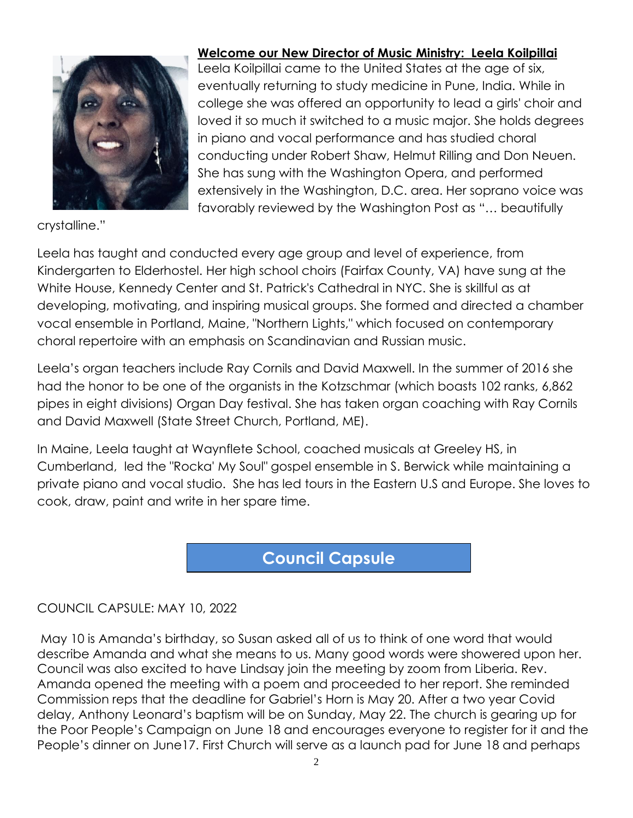

crystalline."

#### **Welcome our New Director of Music Ministry: Leela Koilpillai**

Leela Koilpillai came to the United States at the age of six, eventually returning to study medicine in Pune, India. While in college she was offered an opportunity to lead a girls' choir and loved it so much it switched to a music major. She holds degrees in piano and vocal performance and has studied choral conducting under Robert Shaw, Helmut Rilling and Don Neuen. She has sung with the Washington Opera, and performed extensively in the Washington, D.C. area. Her soprano voice was favorably reviewed by the Washington Post as "… beautifully

Leela has taught and conducted every age group and level of experience, from Kindergarten to Elderhostel. Her high school choirs (Fairfax County, VA) have sung at the White House, Kennedy Center and St. Patrick's Cathedral in NYC. She is skillful as at developing, motivating, and inspiring musical groups. She formed and directed a chamber vocal ensemble in Portland, Maine, "Northern Lights," which focused on contemporary choral repertoire with an emphasis on Scandinavian and Russian music.

Leela's organ teachers include Ray Cornils and David Maxwell. In the summer of 2016 she had the honor to be one of the organists in the Kotzschmar (which boasts 102 ranks, 6,862 pipes in eight divisions) Organ Day festival. She has taken organ coaching with Ray Cornils and David Maxwell (State Street Church, Portland, ME).

In Maine, Leela taught at Waynflete School, coached musicals at Greeley HS, in Cumberland, led the "Rocka' My Soul" gospel ensemble in S. Berwick while maintaining a private piano and vocal studio. She has led tours in the Eastern U.S and Europe. She loves to cook, draw, paint and write in her spare time.

### **World Commission Commission Commission Commission Commission Commission Commission Council Capsule**

#### COUNCIL CAPSULE: MAY 10, 2022

May 10 is Amanda's birthday, so Susan asked all of us to think of one word that would describe Amanda and what she means to us. Many good words were showered upon her. Council was also excited to have Lindsay join the meeting by zoom from Liberia. Rev. Amanda opened the meeting with a poem and proceeded to her report. She reminded Commission reps that the deadline for Gabriel's Horn is May 20. After a two year Covid delay, Anthony Leonard's baptism will be on Sunday, May 22. The church is gearing up for the Poor People's Campaign on June 18 and encourages everyone to register for it and the People's dinner on June17. First Church will serve as a launch pad for June 18 and perhaps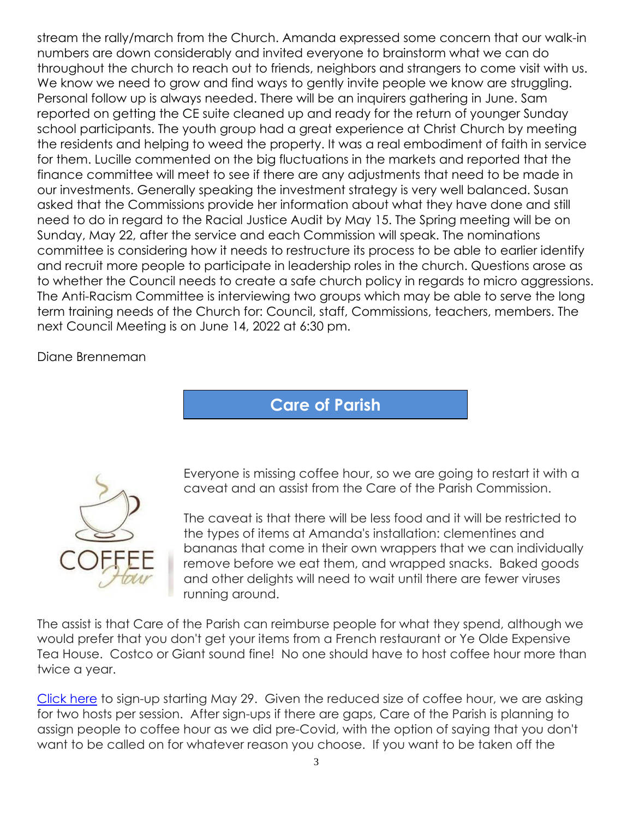stream the rally/march from the Church. Amanda expressed some concern that our walk-in numbers are down considerably and invited everyone to brainstorm what we can do throughout the church to reach out to friends, neighbors and strangers to come visit with us. We know we need to grow and find ways to gently invite people we know are struggling. Personal follow up is always needed. There will be an inquirers gathering in June. Sam reported on getting the CE suite cleaned up and ready for the return of younger Sunday school participants. The youth group had a great experience at Christ Church by meeting the residents and helping to weed the property. It was a real embodiment of faith in service for them. Lucille commented on the big fluctuations in the markets and reported that the finance committee will meet to see if there are any adjustments that need to be made in our investments. Generally speaking the investment strategy is very well balanced. Susan asked that the Commissions provide her information about what they have done and still need to do in regard to the Racial Justice Audit by May 15. The Spring meeting will be on Sunday, May 22, after the service and each Commission will speak. The nominations committee is considering how it needs to restructure its process to be able to earlier identify and recruit more people to participate in leadership roles in the church. Questions arose as to whether the Council needs to create a safe church policy in regards to micro aggressions. The Anti-Racism Committee is interviewing two groups which may be able to serve the long term training needs of the Church for: Council, staff, Commissions, teachers, members. The next Council Meeting is on June 14, 2022 at 6:30 pm.

Diane Brenneman

**Care of Parish**



Everyone is missing coffee hour, so we are going to restart it with a caveat and an assist from the Care of the Parish Commission.

The caveat is that there will be less food and it will be restricted to the types of items at Amanda's installation: clementines and bananas that come in their own wrappers that we can individually remove before we eat them, and wrapped snacks. Baked goods and other delights will need to wait until there are fewer viruses running around.

The assist is that Care of the Parish can reimburse people for what they spend, although we would prefer that you don't get your items from a French restaurant or Ye Olde Expensive Tea House. Costco or Giant sound fine! No one should have to host coffee hour more than twice a year.

[Click](https://www.signupgenius.com/go/9040944a4ac2eabfc1-first) here to sign-up starting May 29. Given the reduced size of coffee hour, we are asking for two hosts per session. After sign-ups if there are gaps, Care of the Parish is planning to assign people to coffee hour as we did pre-Covid, with the option of saying that you don't want to be called on for whatever reason you choose. If you want to be taken off the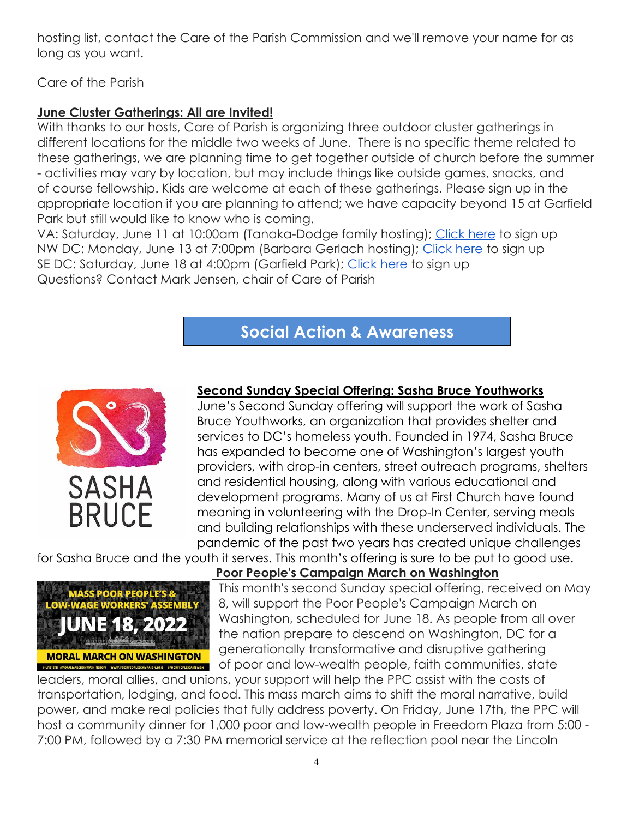hosting list, contact the Care of the Parish Commission and we'll remove your name for as long as you want.

Care of the Parish

#### **June Cluster Gatherings: All are Invited!**

With thanks to our hosts, Care of Parish is organizing three outdoor cluster gatherings in different locations for the middle two weeks of June. There is no specific theme related to these gatherings, we are planning time to get together outside of church before the summer - activities may vary by location, but may include things like outside games, snacks, and of course fellowship. Kids are welcome at each of these gatherings. Please sign up in the appropriate location if you are planning to attend; we have capacity beyond 15 at Garfield Park but still would like to know who is coming.

VA: Saturday, June 11 at 10:00am (Tanaka-Dodge family hosting); [Click here](https://www.signupgenius.com/go/9040944a4ac2eabfc1-vacluster) to sign up NW DC: Monday, June 13 at 7:00pm (Barbara Gerlach hosting); [Click here](https://www.signupgenius.com/go/9040944a4ac2eabfc1-mdcluster) to sign up SE DC: Saturday, June 18 at 4:00pm (Garfield Park); [Click here](https://www.signupgenius.com/go/9040944a4ac2eabfc1-dccluster) to sign up Questions? Contact Mark Jensen, chair of Care of Parish

## **Social Action & Awareness**

**Commission**



#### **Second Sunday Special Offering: Sasha Bruce Youthworks**

June's Second Sunday offering will support the work of Sasha Bruce Youthworks, an organization that provides shelter and services to DC's homeless youth. Founded in 1974, Sasha Bruce has expanded to become one of Washington's largest youth providers, with drop-in centers, street outreach programs, shelters and residential housing, along with various educational and development programs. Many of us at First Church have found meaning in volunteering with the Drop-In Center, serving meals and building relationships with these underserved individuals. The pandemic of the past two years has created unique challenges

for Sasha Bruce and the youth it serves. This month's offering is sure to be put to good use.



#### **Poor People's Campaign March on Washington**

This month's second Sunday special offering, received on May 8, will support the Poor People's Campaign March on Washington, scheduled for June 18. As people from all over the nation prepare to descend on Washington, DC for a generationally transformative and disruptive gathering of poor and low-wealth people, faith communities, state

leaders, moral allies, and unions, your support will help the PPC assist with the costs of transportation, lodging, and food. This mass march aims to shift the moral narrative, build power, and make real policies that fully address poverty. On Friday, June 17th, the PPC will host a community dinner for 1,000 poor and low-wealth people in Freedom Plaza from 5:00 - 7:00 PM, followed by a 7:30 PM memorial service at the reflection pool near the Lincoln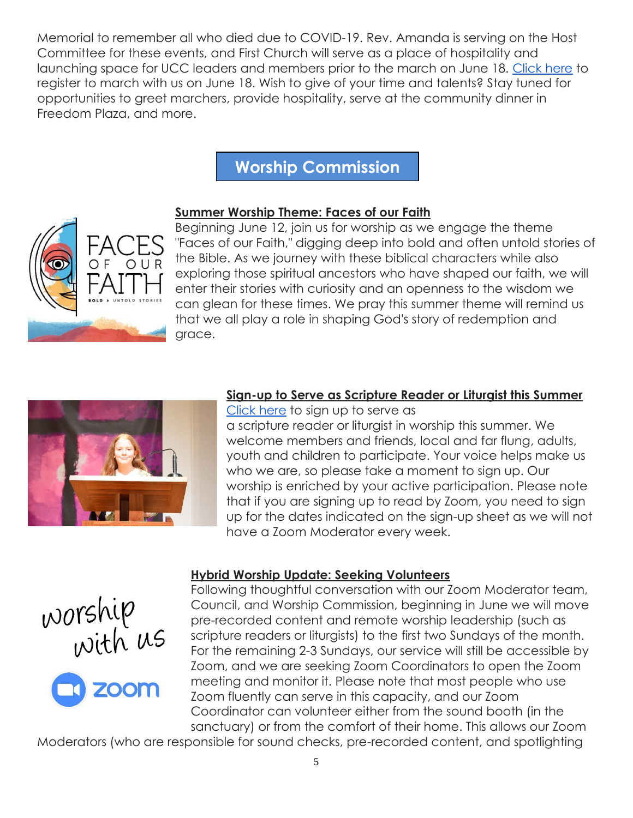Memorial to remember all who died due to COVID-19. Rev. Amanda is serving on the Host Committee for these events, and First Church will serve as a place of hospitality and launching space for UCC leaders and members prior to the march on June 18. [Click here](https://actionnetwork.org/forms/june-2022-mass-poor-peoples-assembly-and-moral-march-on-washington?source=facebook&&fbclid=IwAR2Xck5VCv4ywobnPV4DhB10f5r3vG7KF5BPzm9j98OVrYFgZvPL1ARUamU) to register to march with us on June 18. Wish to give of your time and talents? Stay tuned for opportunities to greet marchers, provide hospitality, serve at the community dinner in Freedom Plaza, and more.

## **Worship Commission**

#### **Summer Worship Theme: Faces of our Faith**

Beginning June 12, join us for worship as we engage the theme "Faces of our Faith," digging deep into bold and often untold stories of the Bible. As we journey with these biblical characters while also exploring those spiritual ancestors who have shaped our faith, we will enter their stories with curiosity and an openness to the wisdom we can glean for these times. We pray this summer theme will remind us that we all play a role in shaping God's story of redemption and grace.



#### **Sign-up to Serve as Scripture Reader or Liturgist this Summer**

[Click here](https://docs.google.com/document/d/15WZlGyOLNMcFdw6Rbbjl8zE6pCdifoadKrGUOeS6kTM/edit?usp=sharing) to sign up to serve as a scripture reader or liturgist in worship this summer. We welcome members and friends, local and far flung, adults, youth and children to participate. Your voice helps make us who we are, so please take a moment to sign up. Our worship is enriched by your active participation. Please note that if you are signing up to read by Zoom, you need to sign up for the dates indicated on the sign-up sheet as we will not have a Zoom Moderator every week.





#### **Hybrid Worship Update: Seeking Volunteers**

Following thoughtful conversation with our Zoom Moderator team, Council, and Worship Commission, beginning in June we will move pre-recorded content and remote worship leadership (such as scripture readers or liturgists) to the first two Sundays of the month. For the remaining 2-3 Sundays, our service will still be accessible by Zoom, and we are seeking Zoom Coordinators to open the Zoom meeting and monitor it. Please note that most people who use Zoom fluently can serve in this capacity, and our Zoom Coordinator can volunteer either from the sound booth (in the sanctuary) or from the comfort of their home. This allows our Zoom

Moderators (who are responsible for sound checks, pre-recorded content, and spotlighting

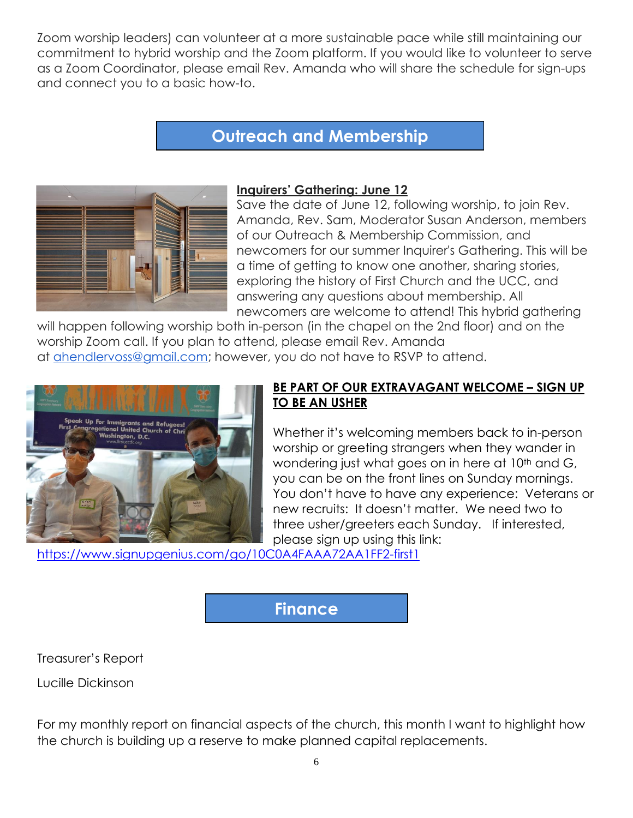Zoom worship leaders) can volunteer at a more sustainable pace while still maintaining our commitment to hybrid worship and the Zoom platform. If you would like to volunteer to serve as a Zoom Coordinator, please email Rev. Amanda who will share the schedule for sign-ups and connect you to a basic how-to.

## **Outreach and Membership**

**Commission**



#### **Inquirers' Gathering: June 12**

Save the date of June 12, following worship, to join Rev. Amanda, Rev. Sam, Moderator Susan Anderson, members of our Outreach & Membership Commission, and newcomers for our summer Inquirer's Gathering. This will be a time of getting to know one another, sharing stories, exploring the history of First Church and the UCC, and answering any questions about membership. All newcomers are welcome to attend! This hybrid gathering

will happen following worship both in-person (in the chapel on the 2nd floor) and on the worship Zoom call. If you plan to attend, please email Rev. Amanda at [ahendlervoss@gmail.com;](mailto:ahendlervoss@gmail.com) however, you do not have to RSVP to attend.



#### **BE PART OF OUR EXTRAVAGANT WELCOME – SIGN UP TO BE AN USHER**

Whether it's welcoming members back to in-person worship or greeting strangers when they wander in wondering just what goes on in here at 10<sup>th</sup> and G, you can be on the front lines on Sunday mornings. You don't have to have any experience: Veterans or new recruits: It doesn't matter. We need two to three usher/greeters each Sunday. If interested, please sign up using this link:

<https://www.signupgenius.com/go/10C0A4FAAA72AA1FF2-first1>

#### **Finance**

Treasurer's Report

Lucille Dickinson

For my monthly report on financial aspects of the church, this month I want to highlight how the church is building up a reserve to make planned capital replacements.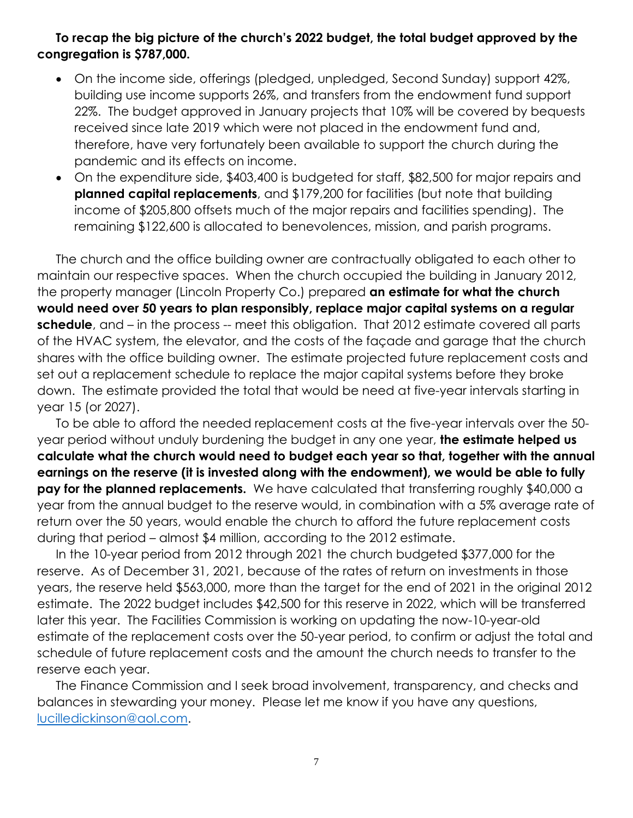#### **To recap the big picture of the church's 2022 budget, the total budget approved by the congregation is \$787,000.**

- On the income side, offerings (pledged, unpledged, Second Sunday) support 42%, building use income supports 26%, and transfers from the endowment fund support 22%. The budget approved in January projects that 10% will be covered by bequests received since late 2019 which were not placed in the endowment fund and, therefore, have very fortunately been available to support the church during the pandemic and its effects on income.
- On the expenditure side, \$403,400 is budgeted for staff, \$82,500 for major repairs and **planned capital replacements**, and \$179,200 for facilities (but note that building income of \$205,800 offsets much of the major repairs and facilities spending). The remaining \$122,600 is allocated to benevolences, mission, and parish programs.

The church and the office building owner are contractually obligated to each other to maintain our respective spaces. When the church occupied the building in January 2012, the property manager (Lincoln Property Co.) prepared **an estimate for what the church would need over 50 years to plan responsibly, replace major capital systems on a regular schedule**, and – in the process -- meet this obligation. That 2012 estimate covered all parts of the HVAC system, the elevator, and the costs of the façade and garage that the church shares with the office building owner. The estimate projected future replacement costs and set out a replacement schedule to replace the major capital systems before they broke down. The estimate provided the total that would be need at five-year intervals starting in year 15 (or 2027).

To be able to afford the needed replacement costs at the five-year intervals over the 50 year period without unduly burdening the budget in any one year, **the estimate helped us calculate what the church would need to budget each year so that, together with the annual earnings on the reserve (it is invested along with the endowment), we would be able to fully pay for the planned replacements.** We have calculated that transferring roughly \$40,000 a year from the annual budget to the reserve would, in combination with a 5% average rate of return over the 50 years, would enable the church to afford the future replacement costs during that period – almost \$4 million, according to the 2012 estimate.

In the 10-year period from 2012 through 2021 the church budgeted \$377,000 for the reserve. As of December 31, 2021, because of the rates of return on investments in those years, the reserve held \$563,000, more than the target for the end of 2021 in the original 2012 estimate. The 2022 budget includes \$42,500 for this reserve in 2022, which will be transferred later this year. The Facilities Commission is working on updating the now-10-year-old estimate of the replacement costs over the 50-year period, to confirm or adjust the total and schedule of future replacement costs and the amount the church needs to transfer to the reserve each year.

The Finance Commission and I seek broad involvement, transparency, and checks and balances in stewarding your money. Please let me know if you have any questions, [lucilledickinson@aol.com.](mailto:lucilledickinson@aol.com)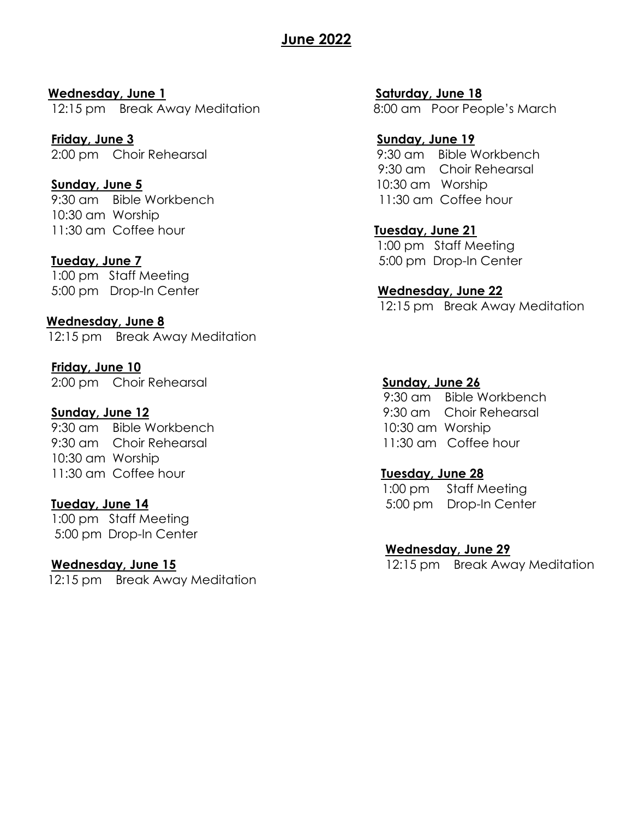#### **June 2022**

**Wednesday, June 1 Saturday, June 18** 12:15 pm Break Away Meditation 8:00 am Poor People's March

**Friday, June 3 Sunday, June 19** 2:00 pm Choir Rehearsal 9:30 am Bible Workbench

**Sunday, June 5** 10:30 am Worship 9:30 am Bible Workbench 11:30 am Coffee hour 10:30 am Worship 11:30 am Coffee hour **Tuesday, June 21**

1:00 pm Staff Meeting 5:00 pm Drop-In Center **Wednesday, June 22**

**Wednesday, June 8** 12:15 pm Break Away Meditation

**Friday, June 10** 2:00 pm Choir Rehearsal **Sunday, June 26**

#### **Sunday, June 12 Sunday, June 12 9:30 am** Choir Rehearsal

9:30 am Bible Workbench 10:30 am Worship 9:30 am Choir Rehearsal 11:30 am Coffee hour 10:30 am Worship 11:30 am Coffee hour **Tuesday, June 28**

1:00 pm Staff Meeting 5:00 pm Drop-In Center

12:15 pm Break Away Meditation

9:30 am Choir Rehearsal

 1:00 pm Staff Meeting **Tueday, June 7** 5:00 pm Drop-In Center

12:15 pm Break Away Meditation

9:30 am Bible Workbench

 1:00 pm Staff Meeting **Tueday, June 14 Tueday, June 14 Tueday, June 14 5:00 pm** Drop-In Center

**Wednesday, June 29**

**Wednesday, June 15** 12:15 pm Break Away Meditation